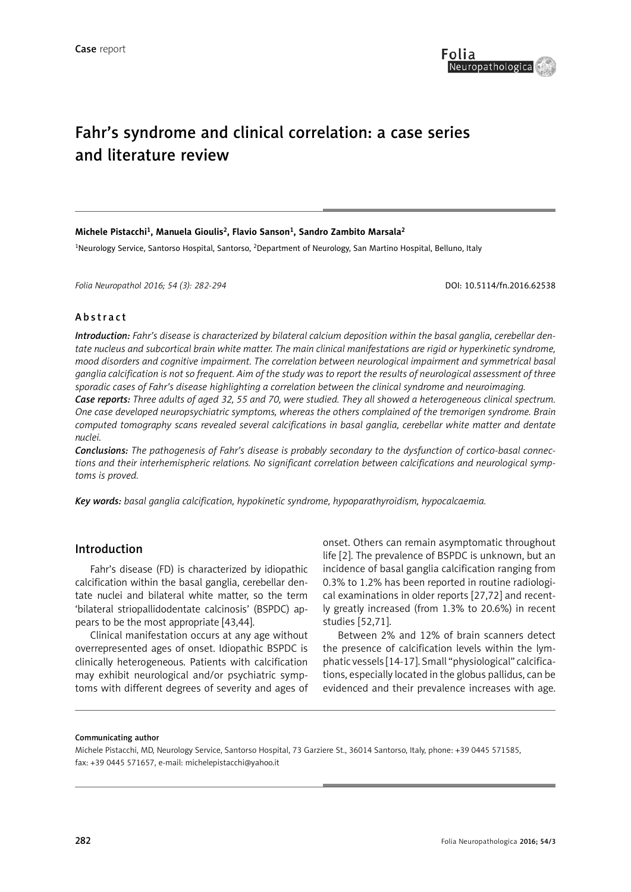

# Fahr's syndrome and clinical correlation: a case series and literature review

#### **Michele Pistacchi1, Manuela Gioulis2, Flavio Sanson1, Sandro Zambito Marsala2**

<sup>1</sup>Neurology Service, Santorso Hospital, Santorso, <sup>2</sup>Department of Neurology, San Martino Hospital, Belluno, Italy

*Folia Neuropathol 2016; 54 (3): 282-294* DOI: 10.5114/fn.2016.62538

#### Abstract

*Introduction: Fahr's disease is characterized by bilateral calcium deposition within the basal ganglia, cerebellar dentate nucleus and subcortical brain white matter. The main clinical manifestations are rigid or hyperkinetic syndrome, mood disorders and cognitive impairment. The correlation between neurological impairment and symmetrical basal ganglia calcification is not so frequent. Aim of the study was to report the results of neurological assessment of three sporadic cases of Fahr's disease highlighting a correlation between the clinical syndrome and neuroimaging. Case reports: Three adults of aged 32, 55 and 70, were studied. They all showed a heterogeneous clinical spectrum. One case developed neuropsychiatric symptoms, whereas the others complained of the tremorigen syndrome. Brain computed tomography scans revealed several calcifications in basal ganglia, cerebellar white matter and dentate nuclei.* 

*Conclusions: The pathogenesis of Fahr's disease is probably secondary to the dysfunction of cortico-basal connections and their interhemispheric relations. No significant correlation between calcifications and neurological symptoms is proved.*

*Key words: basal ganglia calcification, hypokinetic syndrome, hypoparathyroidism, hypocalcaemia.*

## Introduction

Fahr's disease (FD) is characterized by idiopathic calcification within the basal ganglia, cerebellar dentate nuclei and bilateral white matter, so the term 'bilateral striopallidodentate calcinosis' (BSPDC) appears to be the most appropriate [43,44].

Clinical manifestation occurs at any age without overrepresented ages of onset. Idiopathic BSPDC is clinically heterogeneous. Patients with calcification may exhibit neurological and/or psychiatric symptoms with different degrees of severity and ages of

onset. Others can remain asymptomatic throughout life [2]. The prevalence of BSPDC is unknown, but an incidence of basal ganglia calcification ranging from 0.3% to 1.2% has been reported in routine radiological examinations in older reports [27,72] and recently greatly increased (from 1.3% to 20.6%) in recent studies [52,71].

Between 2% and 12% of brain scanners detect the presence of calcification levels within the lymphatic vessels [14-17]. Small "physiological" calcifications, especially located in the globus pallidus, can be evidenced and their prevalence increases with age.

#### Communicating author

Michele Pistacchi, MD, Neurology Service, Santorso Hospital, 73 Garziere St., 36014 Santorso, Italy, phone: +39 0445 571585, fax: +39 0445 571657, e-mail: michelepistacchi@yahoo.it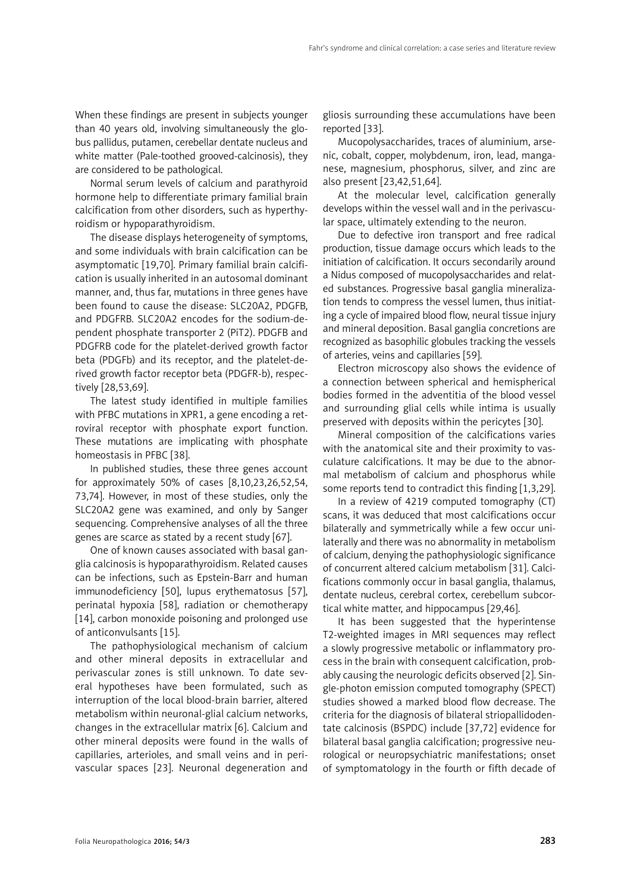When these findings are present in subjects younger than 40 years old, involving simultaneously the globus pallidus, putamen, cerebellar dentate nucleus and white matter (Pale-toothed grooved-calcinosis), they are considered to be pathological.

Normal serum levels of calcium and parathyroid hormone help to differentiate primary familial brain calcification from other disorders, such as hyperthyroidism or hypoparathyroidism.

The disease displays heterogeneity of symptoms, and some individuals with brain calcification can be asymptomatic [19,70]. Primary familial brain calcification is usually inherited in an autosomal dominant manner, and, thus far, mutations in three genes have been found to cause the disease: SLC20A2, PDGFB, and PDGFRB. SLC20A2 encodes for the sodium-dependent phosphate transporter 2 (PiT2). PDGFB and PDGFRB code for the platelet-derived growth factor beta (PDGFb) and its receptor, and the platelet-derived growth factor receptor beta (PDGFR-b), respectively [28,53,69].

The latest study identified in multiple families with PFBC mutations in XPR1, a gene encoding a retroviral receptor with phosphate export function. These mutations are implicating with phosphate homeostasis in PFBC [38].

In published studies, these three genes account for approximately 50% of cases [8,10,23,26,52,54, 73,74]. However, in most of these studies, only the SLC20A2 gene was examined, and only by Sanger sequencing. Comprehensive analyses of all the three genes are scarce as stated by a recent study [67].

One of known causes associated with basal ganglia calcinosis is hypoparathyroidism. Related causes can be infections, such as Epstein-Barr and human immunodeficiency [50], lupus erythematosus [57], perinatal hypoxia [58], radiation or chemotherapy [14], carbon monoxide poisoning and prolonged use of anticonvulsants [15].

The pathophysiological mechanism of calcium and other mineral deposits in extracellular and perivascular zones is still unknown. To date several hypotheses have been formulated, such as interruption of the local blood-brain barrier, altered metabolism within neuronal-glial calcium networks, changes in the extracellular matrix [6]. Calcium and other mineral deposits were found in the walls of capillaries, arterioles, and small veins and in perivascular spaces [23]. Neuronal degeneration and gliosis surrounding these accumulations have been reported [33].

Mucopolysaccharides, traces of aluminium, arsenic, cobalt, copper, molybdenum, iron, lead, manganese, magnesium, phosphorus, silver, and zinc are also present [23,42,51,64].

At the molecular level, calcification generally develops within the vessel wall and in the perivascular space, ultimately extending to the neuron.

Due to defective iron transport and free radical production, tissue damage occurs which leads to the initiation of calcification. It occurs secondarily around a Nidus composed of mucopolysaccharides and related substances. Progressive basal ganglia mineralization tends to compress the vessel lumen, thus initiating a cycle of impaired blood flow, neural tissue injury and mineral deposition. Basal ganglia concretions are recognized as basophilic globules tracking the vessels of arteries, veins and capillaries [59].

Electron microscopy also shows the evidence of a connection between spherical and hemispherical bodies formed in the adventitia of the blood vessel and surrounding glial cells while intima is usually preserved with deposits within the pericytes [30].

Mineral composition of the calcifications varies with the anatomical site and their proximity to vasculature calcifications. It may be due to the abnormal metabolism of calcium and phosphorus while some reports tend to contradict this finding [1,3,29].

In a review of 4219 computed tomography (CT) scans, it was deduced that most calcifications occur bilaterally and symmetrically while a few occur unilaterally and there was no abnormality in metabolism of calcium, denying the pathophysiologic significance of concurrent altered calcium metabolism [31]. Calcifications commonly occur in basal ganglia, thalamus, dentate nucleus, cerebral cortex, cerebellum subcortical white matter, and hippocampus [29,46].

It has been suggested that the hyperintense T2-weighted images in MRI sequences may reflect a slowly progressive metabolic or inflammatory process in the brain with consequent calcification, probably causing the neurologic deficits observed [2]. Single-photon emission computed tomography (SPECT) studies showed a marked blood flow decrease. The criteria for the diagnosis of bilateral striopallidodentate calcinosis (BSPDC) include [37,72] evidence for bilateral basal ganglia calcification; progressive neurological or neuropsychiatric manifestations; onset of symptomatology in the fourth or fifth decade of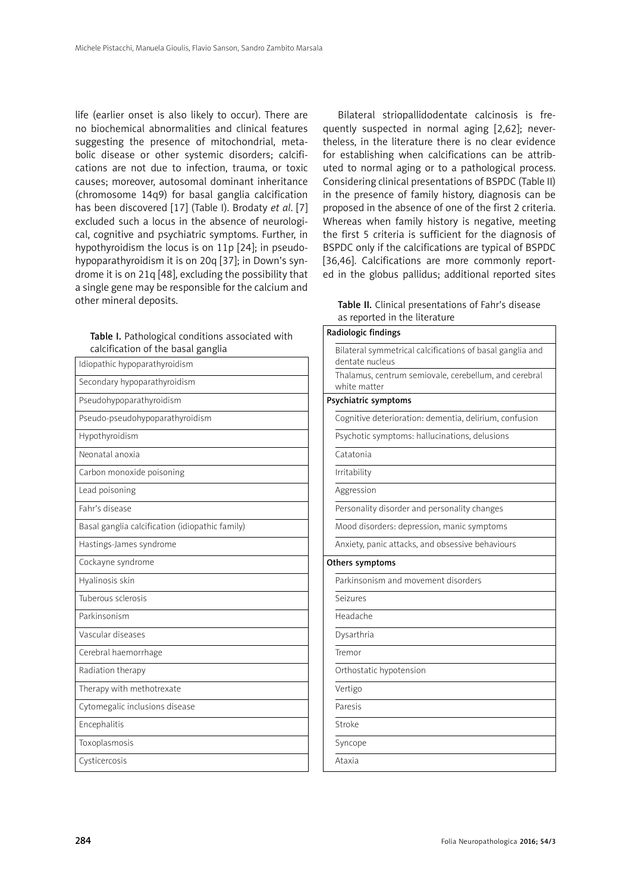life (earlier onset is also likely to occur). There are no biochemical abnormalities and clinical features suggesting the presence of mitochondrial, metabolic disease or other systemic disorders; calcifications are not due to infection, trauma, or toxic causes; moreover, autosomal dominant inheritance (chromosome 14q9) for basal ganglia calcification has been discovered [17] (Table I). Brodaty *et al*. [7] excluded such a locus in the absence of neurological, cognitive and psychiatric symptoms. Further, in hypothyroidism the locus is on 11p [24]; in pseudohypoparathyroidism it is on 20q [37]; in Down's syndrome it is on 21q [48], excluding the possibility that a single gene may be responsible for the calcium and other mineral deposits.

| Table I. Pathological conditions associated with |
|--------------------------------------------------|
| calcification of the basal ganglia               |

| Idiopathic hypoparathyroidism                   |
|-------------------------------------------------|
| Secondary hypoparathyroidism                    |
| Pseudohypoparathyroidism                        |
| Pseudo-pseudohypoparathyroidism                 |
| Hypothyroidism                                  |
| Neonatal anoxia                                 |
| Carbon monoxide poisoning                       |
| Lead poisoning                                  |
| Fahr's disease                                  |
| Basal ganglia calcification (idiopathic family) |
| Hastings-James syndrome                         |
| Cockayne syndrome                               |
| Hyalinosis skin                                 |
| Tuberous sclerosis                              |
| Parkinsonism                                    |
| Vascular diseases                               |
| Cerebral haemorrhage                            |
| Radiation therapy                               |
| Therapy with methotrexate                       |
| Cytomegalic inclusions disease                  |
| Encephalitis                                    |
| Toxoplasmosis                                   |
| Cysticercosis                                   |
|                                                 |

Bilateral striopallidodentate calcinosis is frequently suspected in normal aging [2,62]; nevertheless, in the literature there is no clear evidence for establishing when calcifications can be attributed to normal aging or to a pathological process. Considering clinical presentations of BSPDC (Table II) in the presence of family history, diagnosis can be proposed in the absence of one of the first 2 criteria. Whereas when family history is negative, meeting the first 5 criteria is sufficient for the diagnosis of BSPDC only if the calcifications are typical of BSPDC [36,46]. Calcifications are more commonly reported in the globus pallidus; additional reported sites

| Table II. Clinical presentations of Fahr's disease |  |  |
|----------------------------------------------------|--|--|
| as reported in the literature                      |  |  |

| Radiologic findings                                                          |
|------------------------------------------------------------------------------|
| Bilateral symmetrical calcifications of basal ganglia and<br>dentate nucleus |
| Thalamus, centrum semiovale, cerebellum, and cerebral<br>white matter        |
| Psychiatric symptoms                                                         |
| Cognitive deterioration: dementia, delirium, confusion                       |
| Psychotic symptoms: hallucinations, delusions                                |
| Catatonia                                                                    |
| Irritability                                                                 |
| Aggression                                                                   |
| Personality disorder and personality changes                                 |
| Mood disorders: depression, manic symptoms                                   |
| Anxiety, panic attacks, and obsessive behaviours                             |
| Others symptoms                                                              |
| Parkinsonism and movement disorders                                          |
| Seizures                                                                     |
| Headache                                                                     |
| Dysarthria                                                                   |
| Tremor                                                                       |
| Orthostatic hypotension                                                      |
| Vertigo                                                                      |
| Paresis                                                                      |
| Stroke                                                                       |
| Syncope                                                                      |
| Ataxia                                                                       |
|                                                                              |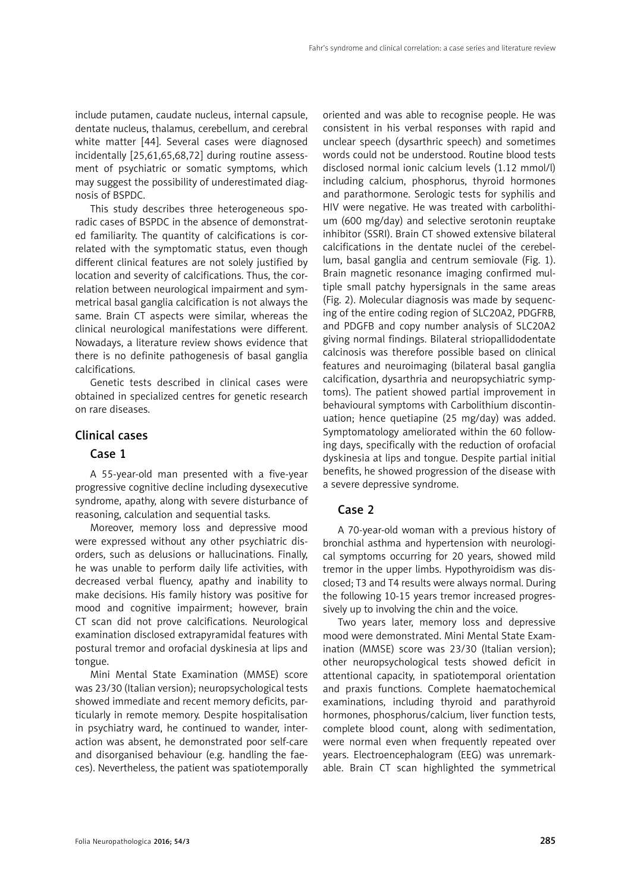include putamen, caudate nucleus, internal capsule, dentate nucleus, thalamus, cerebellum, and cerebral white matter [44]. Several cases were diagnosed incidentally [25,61,65,68,72] during routine assessment of psychiatric or somatic symptoms, which may suggest the possibility of underestimated diagnosis of BSPDC.

This study describes three heterogeneous sporadic cases of BSPDC in the absence of demonstrated familiarity. The quantity of calcifications is correlated with the symptomatic status, even though different clinical features are not solely justified by location and severity of calcifications. Thus, the correlation between neurological impairment and symmetrical basal ganglia calcification is not always the same. Brain CT aspects were similar, whereas the clinical neurological manifestations were different. Nowadays, a literature review shows evidence that there is no definite pathogenesis of basal ganglia calcifications.

Genetic tests described in clinical cases were obtained in specialized centres for genetic research on rare diseases.

# Clinical cases

## Case 1

A 55-year-old man presented with a five-year progressive cognitive decline including dysexecutive syndrome, apathy, along with severe disturbance of reasoning, calculation and sequential tasks.

Moreover, memory loss and depressive mood were expressed without any other psychiatric disorders, such as delusions or hallucinations. Finally, he was unable to perform daily life activities, with decreased verbal fluency, apathy and inability to make decisions. His family history was positive for mood and cognitive impairment; however, brain CT scan did not prove calcifications. Neurological examination disclosed extrapyramidal features with postural tremor and orofacial dyskinesia at lips and tongue.

Mini Mental State Examination (MMSE) score was 23/30 (Italian version); neuropsychological tests showed immediate and recent memory deficits, particularly in remote memory. Despite hospitalisation in psychiatry ward, he continued to wander, interaction was absent, he demonstrated poor self-care and disorganised behaviour (e.g. handling the faeces). Nevertheless, the patient was spatiotemporally

oriented and was able to recognise people. He was consistent in his verbal responses with rapid and unclear speech (dysarthric speech) and sometimes words could not be understood. Routine blood tests disclosed normal ionic calcium levels (1.12 mmol/l) including calcium, phosphorus, thyroid hormones and parathormone. Serologic tests for syphilis and HIV were negative. He was treated with carbolithium (600 mg/day) and selective serotonin reuptake inhibitor (SSRI). Brain CT showed extensive bilateral calcifications in the dentate nuclei of the cerebellum, basal ganglia and centrum semiovale (Fig. 1). Brain magnetic resonance imaging confirmed multiple small patchy hypersignals in the same areas (Fig. 2). Molecular diagnosis was made by sequencing of the entire coding region of SLC20A2, PDGFRB, and PDGFB and copy number analysis of SLC20A2 giving normal findings. Bilateral striopallidodentate calcinosis was therefore possible based on clinical features and neuroimaging (bilateral basal ganglia calcification, dysarthria and neuropsychiatric symptoms). The patient showed partial improvement in behavioural symptoms with Carbolithium discontinuation; hence quetiapine (25 mg/day) was added. Symptomatology ameliorated within the 60 following days, specifically with the reduction of orofacial dyskinesia at lips and tongue. Despite partial initial benefits, he showed progression of the disease with a severe depressive syndrome.

# Case 2

A 70-year-old woman with a previous history of bronchial asthma and hypertension with neurological symptoms occurring for 20 years, showed mild tremor in the upper limbs. Hypothyroidism was disclosed; T3 and T4 results were always normal. During the following 10-15 years tremor increased progressively up to involving the chin and the voice.

Two years later, memory loss and depressive mood were demonstrated. Mini Mental State Examination (MMSE) score was 23/30 (Italian version); other neuropsychological tests showed deficit in attentional capacity, in spatiotemporal orientation and praxis functions. Complete haematochemical examinations, including thyroid and parathyroid hormones, phosphorus/calcium, liver function tests, complete blood count, along with sedimentation, were normal even when frequently repeated over years. Electroencephalogram (EEG) was unremarkable. Brain CT scan highlighted the symmetrical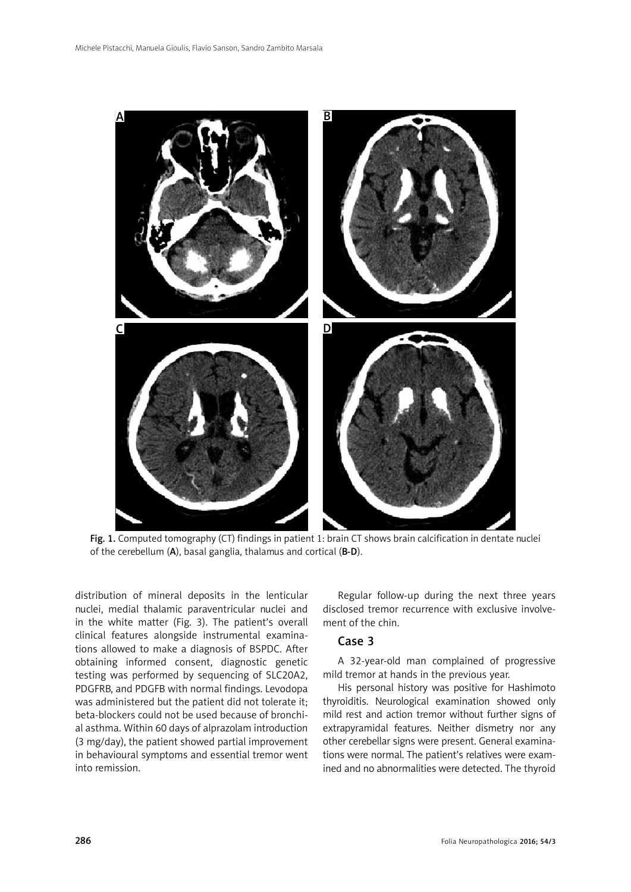

Fig. 1. Computed tomography (CT) findings in patient 1: brain CT shows brain calcification in dentate nuclei of the cerebellum (A), basal ganglia, thalamus and cortical (B-D).

distribution of mineral deposits in the lenticular nuclei, medial thalamic paraventricular nuclei and in the white matter (Fig. 3). The patient's overall clinical features alongside instrumental examinations allowed to make a diagnosis of BSPDC. After obtaining informed consent, diagnostic genetic testing was performed by sequencing of SLC20A2, PDGFRB, and PDGFB with normal findings. Levodopa was administered but the patient did not tolerate it; beta-blockers could not be used because of bronchial asthma. Within 60 days of alprazolam introduction (3 mg/day), the patient showed partial improvement in behavioural symptoms and essential tremor went into remission.

Regular follow-up during the next three years disclosed tremor recurrence with exclusive involvement of the chin.

# Case 3

A 32-year-old man complained of progressive mild tremor at hands in the previous year.

His personal history was positive for Hashimoto thyroiditis. Neurological examination showed only mild rest and action tremor without further signs of extrapyramidal features. Neither dismetry nor any other cerebellar signs were present. General examinations were normal. The patient's relatives were examined and no abnormalities were detected. The thyroid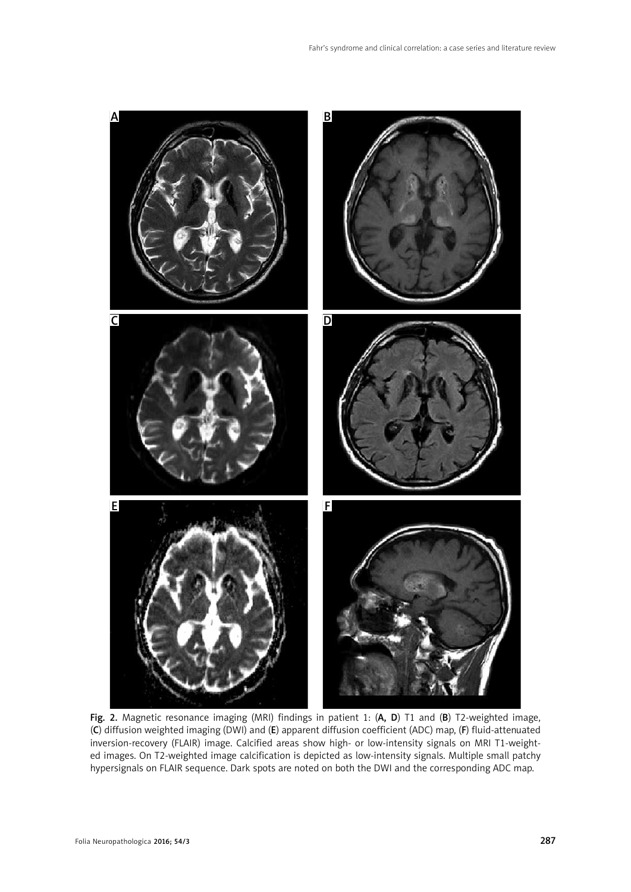

Fig. 2. Magnetic resonance imaging (MRI) findings in patient 1: (A, D) T1 and (B) T2-weighted image, (C) diffusion weighted imaging (DWI) and (E) apparent diffusion coefficient (ADC) map, (F) fluid-attenuated inversion-recovery (FLAIR) image. Calcified areas show high- or low-intensity signals on MRI T1-weighted images. On T2-weighted image calcification is depicted as low-intensity signals. Multiple small patchy hypersignals on FLAIR sequence. Dark spots are noted on both the DWI and the corresponding ADC map.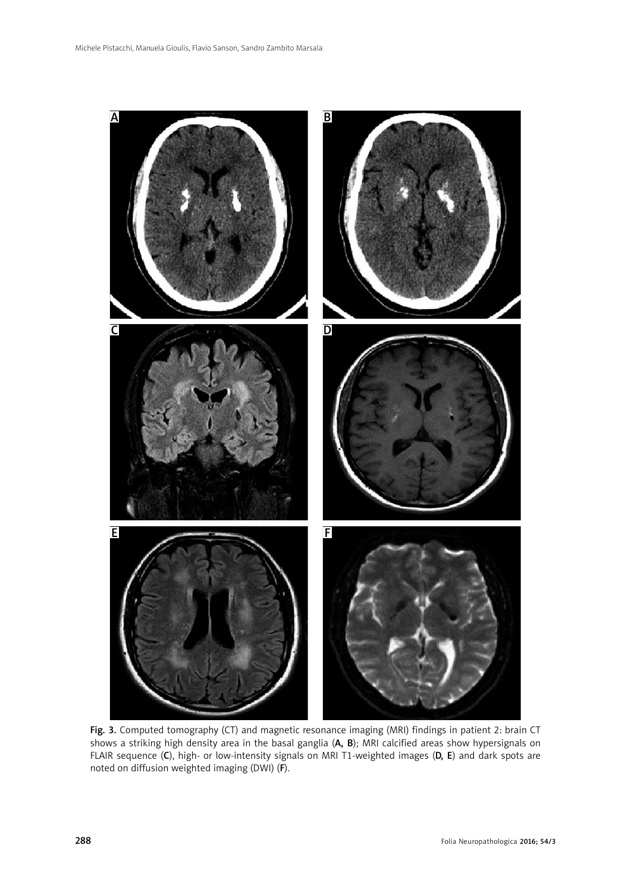

Fig. 3. Computed tomography (CT) and magnetic resonance imaging (MRI) findings in patient 2: brain CT shows a striking high density area in the basal ganglia (A, B); MRI calcified areas show hypersignals on FLAIR sequence (C), high- or low-intensity signals on MRI T1-weighted images (D, E) and dark spots are noted on diffusion weighted imaging (DWI) (F).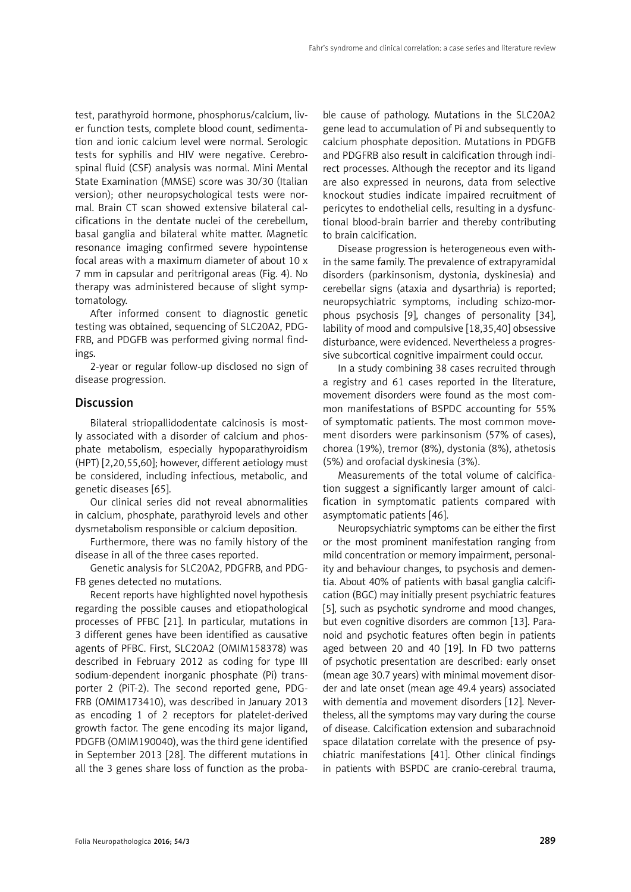test, parathyroid hormone, phosphorus/calcium, liver function tests, complete blood count, sedimentation and ionic calcium level were normal. Serologic tests for syphilis and HIV were negative. Cerebrospinal fluid (CSF) analysis was normal. Mini Mental State Examination (MMSE) score was 30/30 (Italian version); other neuropsychological tests were normal. Brain CT scan showed extensive bilateral calcifications in the dentate nuclei of the cerebellum, basal ganglia and bilateral white matter. Magnetic resonance imaging confirmed severe hypointense focal areas with a maximum diameter of about 10 x 7 mm in capsular and peritrigonal areas (Fig. 4). No therapy was administered because of slight symptomatology.

After informed consent to diagnostic genetic testing was obtained, sequencing of SLC20A2, PDG-FRB, and PDGFB was performed giving normal findings.

2-year or regular follow-up disclosed no sign of disease progression.

# **Discussion**

Bilateral striopallidodentate calcinosis is mostly associated with a disorder of calcium and phosphate metabolism, especially hypoparathyroidism (HPT) [2,20,55,60]; however, different aetiology must be considered, including infectious, metabolic, and genetic diseases [65].

Our clinical series did not reveal abnormalities in calcium, phosphate, parathyroid levels and other dysmetabolism responsible or calcium deposition.

Furthermore, there was no family history of the disease in all of the three cases reported.

Genetic analysis for SLC20A2, PDGFRB, and PDG-FB genes detected no mutations.

Recent reports have highlighted novel hypothesis regarding the possible causes and etiopathological processes of PFBC [21]. In particular, mutations in 3 different genes have been identified as causative agents of PFBC. First, SLC20A2 (OMIM158378) was described in February 2012 as coding for type III sodium-dependent inorganic phosphate (Pi) transporter 2 (PiT-2). The second reported gene, PDG-FRB (OMIM173410), was described in January 2013 as encoding 1 of 2 receptors for platelet-derived growth factor. The gene encoding its major ligand, PDGFB (OMIM190040), was the third gene identified in September 2013 [28]. The different mutations in all the 3 genes share loss of function as the proba-

ble cause of pathology. Mutations in the SLC20A2 gene lead to accumulation of Pi and subsequently to calcium phosphate deposition. Mutations in PDGFB and PDGFRB also result in calcification through indirect processes. Although the receptor and its ligand are also expressed in neurons, data from selective knockout studies indicate impaired recruitment of pericytes to endothelial cells, resulting in a dysfunctional blood-brain barrier and thereby contributing to brain calcification.

Disease progression is heterogeneous even within the same family. The prevalence of extrapyramidal disorders (parkinsonism, dystonia, dyskinesia) and cerebellar signs (ataxia and dysarthria) is reported; neuropsychiatric symptoms, including schizo-morphous psychosis [9], changes of personality [34], lability of mood and compulsive [18,35,40] obsessive disturbance, were evidenced. Nevertheless a progressive subcortical cognitive impairment could occur.

In a study combining 38 cases recruited through a registry and 61 cases reported in the literature, movement disorders were found as the most common manifestations of BSPDC accounting for 55% of symptomatic patients. The most common movement disorders were parkinsonism (57% of cases), chorea (19%), tremor (8%), dystonia (8%), athetosis (5%) and orofacial dyskinesia (3%).

Measurements of the total volume of calcification suggest a significantly larger amount of calcification in symptomatic patients compared with asymptomatic patients [46].

Neuropsychiatric symptoms can be either the first or the most prominent manifestation ranging from mild concentration or memory impairment, personality and behaviour changes, to psychosis and dementia. About 40% of patients with basal ganglia calcification (BGC) may initially present psychiatric features [5], such as psychotic syndrome and mood changes, but even cognitive disorders are common [13]. Paranoid and psychotic features often begin in patients aged between 20 and 40 [19]. In FD two patterns of psychotic presentation are described: early onset (mean age 30.7 years) with minimal movement disorder and late onset (mean age 49.4 years) associated with dementia and movement disorders [12]. Nevertheless, all the symptoms may vary during the course of disease. Calcification extension and subarachnoid space dilatation correlate with the presence of psychiatric manifestations [41]. Other clinical findings in patients with BSPDC are cranio-cerebral trauma,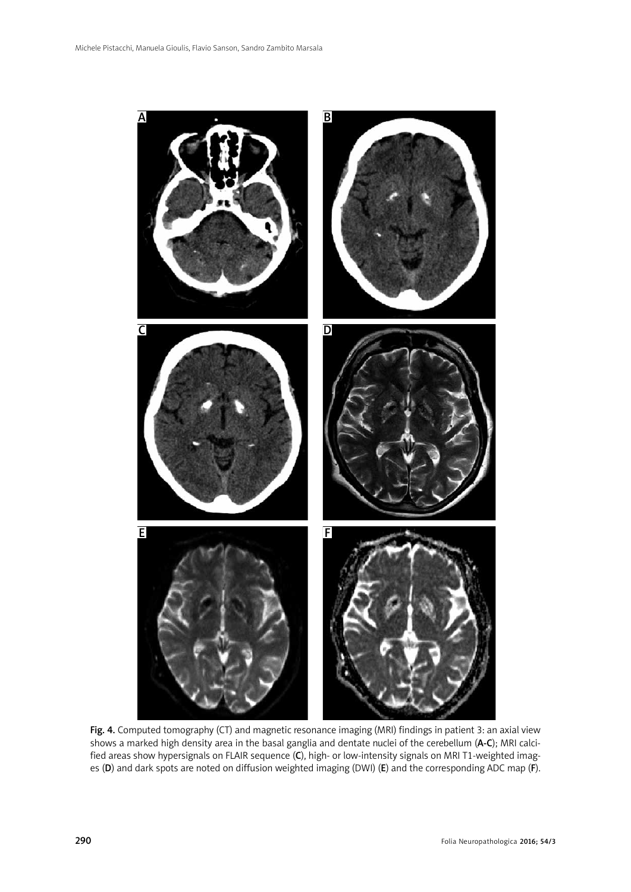

Fig. 4. Computed tomography (CT) and magnetic resonance imaging (MRI) findings in patient 3: an axial view shows a marked high density area in the basal ganglia and dentate nuclei of the cerebellum (A-C); MRI calcified areas show hypersignals on FLAIR sequence (C), high- or low-intensity signals on MRI T1-weighted images (D) and dark spots are noted on diffusion weighted imaging (DWI) (E) and the corresponding ADC map (F).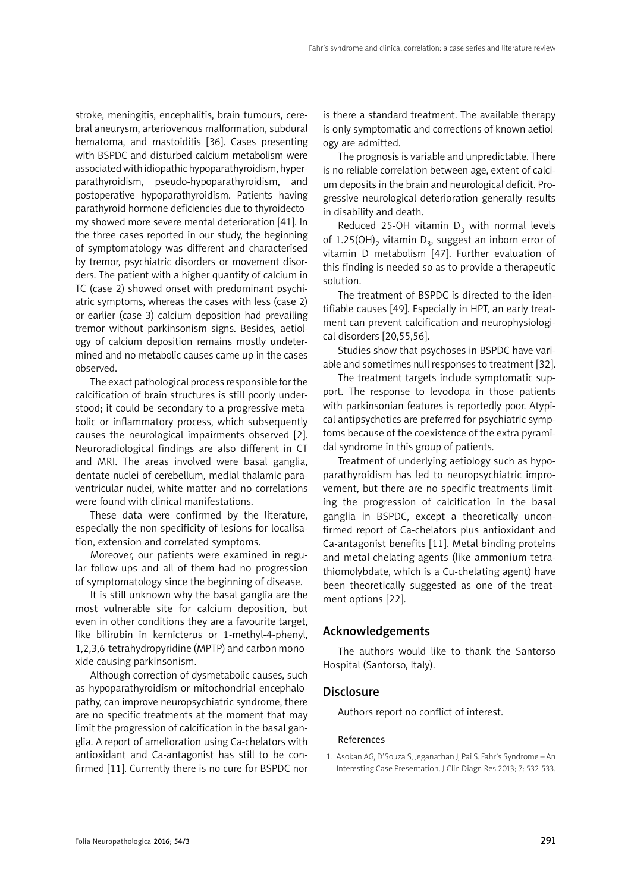stroke, meningitis, encephalitis, brain tumours, cerebral aneurysm, arteriovenous malformation, subdural hematoma, and mastoiditis [36]. Cases presenting with BSPDC and disturbed calcium metabolism were associated with idiopathic hypoparathyroidism, hyperparathyroidism, pseudo-hypoparathyroidism, and postoperative hypoparathyroidism. Patients having parathyroid hormone deficiencies due to thyroidectomy showed more severe mental deterioration [41]. In the three cases reported in our study, the beginning of symptomatology was different and characterised by tremor, psychiatric disorders or movement disorders. The patient with a higher quantity of calcium in TC (case 2) showed onset with predominant psychiatric symptoms, whereas the cases with less (case 2) or earlier (case 3) calcium deposition had prevailing tremor without parkinsonism signs. Besides, aetiology of calcium deposition remains mostly undetermined and no metabolic causes came up in the cases observed.

The exact pathological process responsible for the calcification of brain structures is still poorly understood; it could be secondary to a progressive metabolic or inflammatory process, which subsequently causes the neurological impairments observed [2]. Neuroradiological findings are also different in CT and MRI. The areas involved were basal ganglia, dentate nuclei of cerebellum, medial thalamic paraventricular nuclei, white matter and no correlations were found with clinical manifestations.

These data were confirmed by the literature, especially the non-specificity of lesions for localisation, extension and correlated symptoms.

Moreover, our patients were examined in regular follow-ups and all of them had no progression of symptomatology since the beginning of disease.

It is still unknown why the basal ganglia are the most vulnerable site for calcium deposition, but even in other conditions they are a favourite target, like bilirubin in kernicterus or 1-methyl-4-phenyl, 1,2,3,6-tetrahydropyridine (MPTP) and carbon monoxide causing parkinsonism.

Although correction of dysmetabolic causes, such as hypoparathyroidism or mitochondrial encephalopathy, can improve neuropsychiatric syndrome, there are no specific treatments at the moment that may limit the progression of calcification in the basal ganglia. A report of amelioration using Ca-chelators with antioxidant and Ca-antagonist has still to be confirmed [11]. Currently there is no cure for BSPDC nor is there a standard treatment. The available therapy is only symptomatic and corrections of known aetiology are admitted.

The prognosis is variable and unpredictable. There is no reliable correlation between age, extent of calcium deposits in the brain and neurological deficit. Progressive neurological deterioration generally results in disability and death.

Reduced 25-OH vitamin  $D_3$  with normal levels of 1.25(OH)<sub>2</sub> vitamin D<sub>3</sub>, suggest an inborn error of vitamin D metabolism [47]. Further evaluation of this finding is needed so as to provide a therapeutic solution.

The treatment of BSPDC is directed to the identifiable causes [49]. Especially in HPT, an early treatment can prevent calcification and neurophysiological disorders [20,55,56].

Studies show that psychoses in BSPDC have variable and sometimes null responses to treatment [32].

The treatment targets include symptomatic support. The response to levodopa in those patients with parkinsonian features is reportedly poor. Atypical antipsychotics are preferred for psychiatric symptoms because of the coexistence of the extra pyramidal syndrome in this group of patients.

Treatment of underlying aetiology such as hypoparathyroidism has led to neuropsychiatric improvement, but there are no specific treatments limiting the progression of calcification in the basal ganglia in BSPDC, except a theoretically unconfirmed report of Ca-chelators plus antioxidant and Ca-antagonist benefits [11]. Metal binding proteins and metal-chelating agents (like ammonium tetrathiomolybdate, which is a Cu-chelating agent) have been theoretically suggested as one of the treatment options [22].

# Acknowledgements

The authors would like to thank the Santorso Hospital (Santorso, Italy).

#### **Disclosure**

Authors report no conflict of interest.

#### References

1. Asokan AG, D'Souza S, Jeganathan J, Pai S. Fahr's Syndrome – An Interesting Case Presentation. J Clin Diagn Res 2013; 7: 532-533.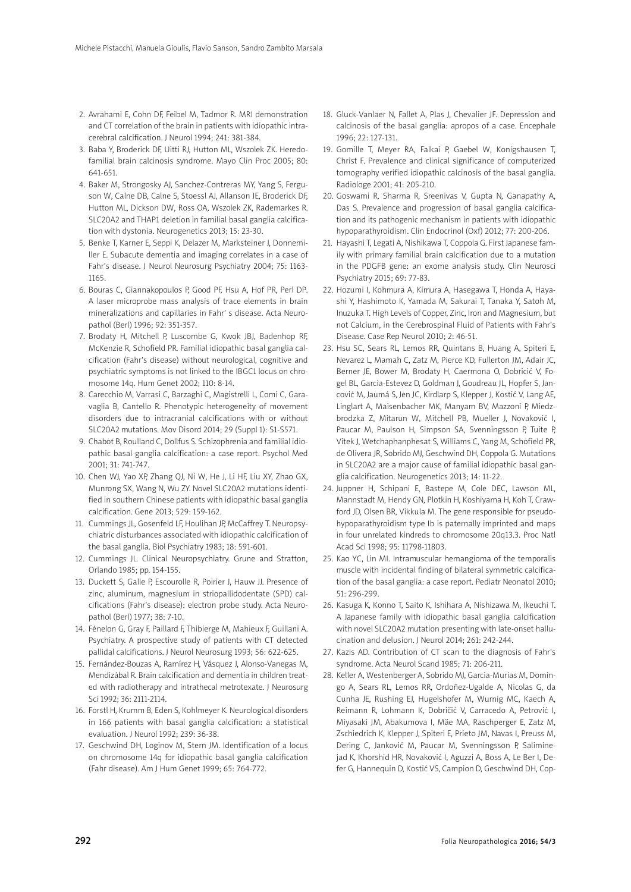- 2. Avrahami E, Cohn DF, Feibel M, Tadmor R. MRI demonstration and CT correlation of the brain in patients with idiopathic intracerebral calcification. J Neurol 1994; 241: 381-384.
- 3. Baba Y, Broderick DF, Uitti RJ, Hutton ML, Wszolek ZK. Heredofamilial brain calcinosis syndrome. Mayo Clin Proc 2005; 80: 641-651.
- 4. Baker M, Strongosky AJ, Sanchez-Contreras MY, Yang S, Ferguson W, Calne DB, Calne S, Stoessl AJ, Allanson JE, Broderick DF, Hutton ML, Dickson DW, Ross OA, Wszolek ZK, Rademarkes R. SLC20A2 and THAP1 deletion in familial basal ganglia calcification with dystonia. Neurogenetics 2013; 15: 23-30.
- 5. Benke T, Karner E, Seppi K, Delazer M, Marksteiner J, Donnemiller E. Subacute dementia and imaging correlates in a case of Fahr's disease. J Neurol Neurosurg Psychiatry 2004; 75: 1163- 1165.
- 6. Bouras C, Giannakopoulos P, Good PF, Hsu A, Hof PR, Perl DP. A laser microprobe mass analysis of trace elements in brain mineralizations and capillaries in Fahr' s disease. Acta Neuropathol (Berl) 1996; 92: 351-357.
- 7. Brodaty H, Mitchell P, Luscombe G, Kwok JBJ, Badenhop RF, McKenzie R, Schofield PR. Familial idiopathic basal ganglia calcification (Fahr's disease) without neurological, cognitive and psychiatric symptoms is not linked to the IBGC1 locus on chromosome 14q. Hum Genet 2002; 110: 8-14.
- 8. Carecchio M, Varrasi C, Barzaghi C, Magistrelli L, Comi C, Garavaglia B, Cantello R. Phenotypic heterogeneity of movement disorders due to intracranial calcifications with or without SLC20A2 mutations. Mov Disord 2014; 29 (Suppl 1): S1-S571.
- 9. Chabot B, Roulland C, Dollfus S. Schizophrenia and familial idiopathic basal ganglia calcification: a case report. Psychol Med 2001; 31: 741-747.
- 10. Chen WJ, Yao XP, Zhang QJ, Ni W, He J, Li HF, Liu XY, Zhao GX, Munrong SX, Wang N, Wu ZY. Novel SLC20A2 mutations identified in southern Chinese patients with idiopathic basal ganglia calcification. Gene 2013; 529: 159-162.
- 11. Cummings JL, Gosenfeld LF, Houlihan JP, McCaffrey T. Neuropsychiatric disturbances associated with idiopathic calcification of the basal ganglia. Biol Psychiatry 1983; 18: 591-601.
- 12. Cummings JL. Clinical Neuropsychiatry. Grune and Stratton, Orlando 1985; pp. 154-155.
- 13. Duckett S, Galle P, Escourolle R, Poirier J, Hauw JJ. Presence of zinc, aluminum, magnesium in striopallidodentate (SPD) calcifications (Fahr's disease): electron probe study. Acta Neuropathol (Berl) 1977; 38: 7-10.
- 14. Fénelon G, Gray F, Paillard F, Thibierge M, Mahieux F, Guillani A. Psychiatry. A prospective study of patients with CT detected pallidal calcifications. J Neurol Neurosurg 1993; 56: 622-625.
- 15. Fernández-Bouzas A, Ramírez H, Vásquez J, Alonso-Vanegas M, Mendizábal R. Brain calcification and dementia in children treated with radiotherapy and intrathecal metrotexate. J Neurosurg Sci 1992; 36: 2111-2114.
- 16. Forstl H, Krumm B, Eden S, Kohlmeyer K. Neurological disorders in 166 patients with basal ganglia calcification: a statistical evaluation. J Neurol 1992; 239: 36-38.
- 17. Geschwind DH, Loginov M, Stern JM. Identification of a locus on chromosome 14q for idiopathic basal ganglia calcification (Fahr disease). Am J Hum Genet 1999; 65: 764-772.
- 18. Gluck-Vanlaer N, Fallet A, Plas J, Chevalier JF. Depression and calcinosis of the basal ganglia: apropos of a case. Encephale 1996; 22: 127-131.
- 19. Gomille T, Meyer RA, Falkai P, Gaebel W, Konigshausen T, Christ F. Prevalence and clinical significance of computerized tomography verified idiopathic calcinosis of the basal ganglia. Radiologe 2001; 41: 205-210.
- 20. Goswami R, Sharma R, Sreenivas V, Gupta N, Ganapathy A, Das S. Prevalence and progression of basal ganglia calcification and its pathogenic mechanism in patients with idiopathic hypoparathyroidism. Clin Endocrinol (Oxf) 2012; 77: 200-206.
- 21. Hayashi T, Legati A, Nishikawa T, Coppola G. First Japanese family with primary familial brain calcification due to a mutation in the PDGFB gene: an exome analysis study. Clin Neurosci Psychiatry 2015; 69: 77-83.
- 22. Hozumi I, Kohmura A, Kimura A, Hasegawa T, Honda A, Hayashi Y, Hashimoto K, Yamada M, Sakurai T, Tanaka Y, Satoh M, Inuzuka T. High Levels of Copper, Zinc, Iron and Magnesium, but not Calcium, in the Cerebrospinal Fluid of Patients with Fahr's Disease. Case Rep Neurol 2010; 2: 46-51.
- 23. Hsu SC, Sears RL, Lemos RR, Quintans B, Huang A, Spiteri E, Nevarez L, Mamah C, Zatz M, Pierce KD, Fullerton JM, Adair JC, Berner JE, Bower M, Brodaty H, Caermona O, Dobricić V, Fogel BL, García-Estevez D, Goldman J, Goudreau JL, Hopfer S, Jancović M, Jaumá S, Jen JC, Kirdlarp S, Klepper J, Kostić V, Lang AE, Linglart A, Maisenbacher MK, Manyam BV, Mazzoni P, Miedzbrodzka Z, Mitarun W, Mitchell PB, Mueller J, Novaković I, Paucar M, Paulson H, Simpson SA, Svenningsson P, Tuite P, Vitek J, Wetchaphanphesat S, Williams C, Yang M, Schofield PR, de Olivera JR, Sobrido MJ, Geschwind DH, Coppola G. Mutations in SLC20A2 are a major cause of familial idiopathic basal ganglia calcification. Neurogenetics 2013; 14: 11-22.
- 24. Juppner H, Schipani E, Bastepe M, Cole DEC, Lawson ML, Mannstadt M, Hendy GN, Plotkin H, Koshiyama H, Koh T, Crawford JD, Olsen BR, Vikkula M. The gene responsible for pseudohypoparathyroidism type Ib is paternally imprinted and maps in four unrelated kindreds to chromosome 20q13.3. Proc Natl Acad Sci 1998; 95: 11798-11803.
- 25. Kao YC, Lin MI. Intramuscular hemangioma of the temporalis muscle with incidental finding of bilateral symmetric calcification of the basal ganglia: a case report. Pediatr Neonatol 2010; 51: 296-299.
- 26. Kasuga K, Konno T, Saito K, Ishihara A, Nishizawa M, Ikeuchi T. A Japanese family with idiopathic basal ganglia calcification with novel SLC20A2 mutation presenting with late-onset hallucination and delusion. J Neurol 2014; 261: 242-244.
- 27. Kazis AD. Contribution of CT scan to the diagnosis of Fahr's syndrome. Acta Neurol Scand 1985; 71: 206-211.
- 28. Keller A, Westenberger A, Sobrido MJ, Garcìa-Murias M, Domingo A, Sears RL, Lemos RR, Ordoñez-Ugalde A, Nicolas G, da Cunha JE, Rushing EJ, Hugelshofer M, Wurnig MC, Kaech A, Reimann R, Lohmann K, Dobričić V, Carracedo A, Petrović I, Miyasaki JM, Abakumova I, Mäe MA, Raschperger E, Zatz M, Zschiedrich K, Klepper J, Spiteri E, Prieto JM, Navas I, Preuss M, Dering C, Janković M, Paucar M, Svenningsson P, Saliminejad K, Khorshid HR, Novaković I, Aguzzi A, Boss A, Le Ber I, Defer G, Hannequin D, Kostić VS, Campion D, Geschwind DH, Cop-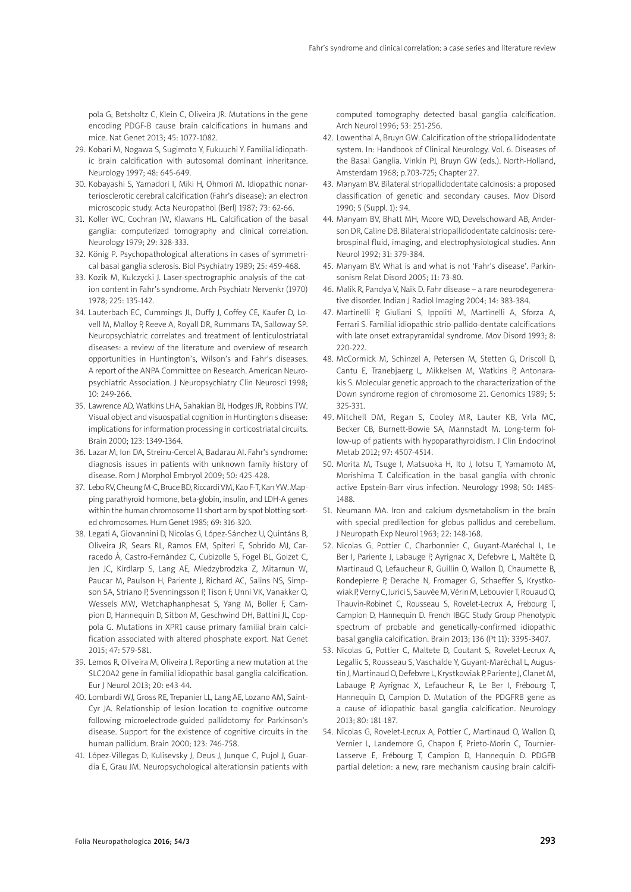pola G, Betsholtz C, Klein C, Oliveira JR. Mutations in the gene encoding PDGF-B cause brain calcifications in humans and mice. Nat Genet 2013; 45: 1077-1082.

- 29. Kobari M, Nogawa S, Sugimoto Y, Fukuuchi Y. Familial idiopathic brain calcification with autosomal dominant inheritance. Neurology 1997; 48: 645-649.
- 30. Kobayashi S, Yamadori I, Miki H, Ohmori M. Idiopathic nonarteriosclerotic cerebral calcification (Fahr's disease): an electron microscopic study. Acta Neuropathol (Berl) 1987; 73: 62-66.
- 31. Koller WC, Cochran JW, Klawans HL. Calcification of the basal ganglia: computerized tomography and clinical correlation. Neurology 1979; 29: 328-333.
- 32. König P. Psychopathological alterations in cases of symmetrical basal ganglia sclerosis. Biol Psychiatry 1989; 25: 459-468.
- 33. Kozik M, Kulczycki J. Laser-spectrographic analysis of the cation content in Fahr's syndrome. Arch Psychiatr Nervenkr (1970) 1978; 225: 135-142.
- 34. Lauterbach EC, Cummings JL, Duffy J, Coffey CE, Kaufer D, Lovell M, Malloy P, Reeve A, Royall DR, Rummans TA, Salloway SP. Neuropsychiatric correlates and treatment of lenticulostriatal diseases: a review of the literature and overview of research opportunities in Huntington's, Wilson's and Fahr's diseases. A report of the ANPA Committee on Research. American Neuropsychiatric Association. J Neuropsychiatry Clin Neurosci 1998; 10: 249-266.
- 35. Lawrence AD, Watkins LHA, Sahakian BJ, Hodges JR, Robbins TW. Visual object and visuospatial cognition in Huntington s disease: implications for information processing in corticostriatal circuits. Brain 2000; 123: 1349-1364.
- 36. Lazar M, Ion DA, Streinu-Cercel A, Badarau AI. Fahr's syndrome: diagnosis issues in patients with unknown family history of disease. Rom J Morphol Embryol 2009; 50: 425-428.
- 37. Lebo RV, Cheung M-C, Bruce BD, Riccardi VM, Kao F-T, Kan YW. Mapping parathyroid hormone, beta-globin, insulin, and LDH-A genes within the human chromosome 11 short arm by spot blotting sorted chromosomes. Hum Genet 1985; 69: 316-320.
- 38. Legati A, Giovannini D, Nicolas G, López-Sánchez U, Quintáns B, Oliveira JR, Sears RL, Ramos EM, Spiteri E, Sobrido MJ, Carracedo Á, Castro-Fernández C, Cubizolle S, Fogel BL, Goizet C, Jen JC, Kirdlarp S, Lang AE, Miedzybrodzka Z, Mitarnun W, Paucar M, Paulson H, Pariente J, Richard AC, Salins NS, Simpson SA, Striano P, Svenningsson P, Tison F, Unni VK, Vanakker O, Wessels MW, Wetchaphanphesat S, Yang M, Boller F, Campion D, Hannequin D, Sitbon M, Geschwind DH, Battini JL, Coppola G. Mutations in XPR1 cause primary familial brain calcification associated with altered phosphate export. Nat Genet 2015; 47: 579-581.
- 39. Lemos R, Oliveira M, Oliveira J. Reporting a new mutation at the SLC20A2 gene in familial idiopathic basal ganglia calcification. Eur J Neurol 2013; 20: e43-44.
- 40. Lombardi WJ, Gross RE, Trepanier LL, Lang AE, Lozano AM, Saint-Cyr JA. Relationship of lesion location to cognitive outcome following microelectrode-guided pallidotomy for Parkinson's disease. Support for the existence of cognitive circuits in the human pallidum. Brain 2000; 123: 746-758.
- 41. López-Villegas D, Kulisevsky J, Deus J, Junque C, Pujol J, Guardia E, Grau JM. Neuropsychological alterationsin patients with

computed tomography detected basal ganglia calcification. Arch Neurol 1996; 53: 251-256.

- 42. Lowenthal A, Bruyn GW. Calcification of the striopallidodentate system. In: Handbook of Clinical Neurology. Vol. 6. Diseases of the Basal Ganglia. Vinkin PJ, Bruyn GW (eds.). North-Holland, Amsterdam 1968; p.703-725; Chapter 27.
- 43. Manyam BV. Bilateral striopallidodentate calcinosis: a proposed classification of genetic and secondary causes. Mov Disord 1990; 5 (Suppl. 1): 94.
- 44. Manyam BV, Bhatt MH, Moore WD, Develschoward AB, Anderson DR, Caline DB. Bilateral striopallidodentate calcinosis: cerebrospinal fluid, imaging, and electrophysiological studies. Ann Neurol 1992; 31: 379-384.
- 45. Manyam BV. What is and what is not 'Fahr's disease'. Parkinsonism Relat Disord 2005; 11: 73-80.
- 46. Malik R, Pandya V, Naik D. Fahr disease a rare neurodegenerative disorder. Indian J Radiol Imaging 2004; 14: 383-384.
- 47. Martinelli P, Giuliani S, Ippoliti M, Martinelli A, Sforza A, Ferrari S. Familial idiopathic strio-pallido-dentate calcifications with late onset extrapyramidal syndrome. Mov Disord 1993; 8: 220-222.
- 48. McCormick M, Schinzel A, Petersen M, Stetten G, Driscoll D, Cantu E, Tranebjaerg L, Mikkelsen M, Watkins P, Antonarakis S. Molecular genetic approach to the characterization of the Down syndrome region of chromosome 21. Genomics 1989; 5: 325-331.
- 49. Mitchell DM, Regan S, Cooley MR, Lauter KB, Vrla MC, Becker CB, Burnett-Bowie SA, Mannstadt M. Long-term follow-up of patients with hypoparathyroidism. J Clin Endocrinol Metab 2012; 97: 4507-4514.
- 50. Morita M, Tsuge I, Matsuoka H, Ito J, Iotsu T, Yamamoto M, Morishima T. Calcification in the basal ganglia with chronic active Epstein-Barr virus infection. Neurology 1998; 50: 1485- 1488.
- 51. Neumann MA. Iron and calcium dysmetabolism in the brain with special predilection for globus pallidus and cerebellum. J Neuropath Exp Neurol 1963; 22: 148-168.
- 52. Nicolas G, Pottier C, Charbonnier C, Guyant-Maréchal L, Le Ber I, Pariente J, Labauge P, Ayrignac X, Defebvre L, Maltête D, Martinaud O, Lefaucheur R, Guillin O, Wallon D, Chaumette B, Rondepierre P, Derache N, Fromager G, Schaeffer S, Krystkowiak P, Verny C, Jurici S, Sauvée M, Vérin M, Lebouvier T, Rouaud O, Thauvin-Robinet C, Rousseau S, Rovelet-Lecrux A, Frebourg T, Campion D, Hannequin D. French IBGC Study Group Phenotypic spectrum of probable and genetically-confirmed idiopathic basal ganglia calcification. Brain 2013; 136 (Pt 11): 3395-3407.
- 53. Nicolas G, Pottier C, Maltete D, Coutant S, Rovelet-Lecrux A, Legallic S, Rousseau S, Vaschalde Y, Guyant-Maréchal L, Augustin J, Martinaud O, Defebvre L, Krystkowiak P, Pariente J, Clanet M, Labauge P, Ayrignac X, Lefaucheur R, Le Ber I, Frébourg T, Hannequin D, Campion D. Mutation of the PDGFRB gene as a cause of idiopathic basal ganglia calcification. Neurology 2013; 80: 181-187.
- 54. Nicolas G, Rovelet-Lecrux A, Pottier C, Martinaud O, Wallon D, Vernier L, Landemore G, Chapon F, Prieto-Morin C, Tournier-Lasserve E, Frébourg T, Campion D, Hannequin D. PDGFB partial deletion: a new, rare mechanism causing brain calcifi-